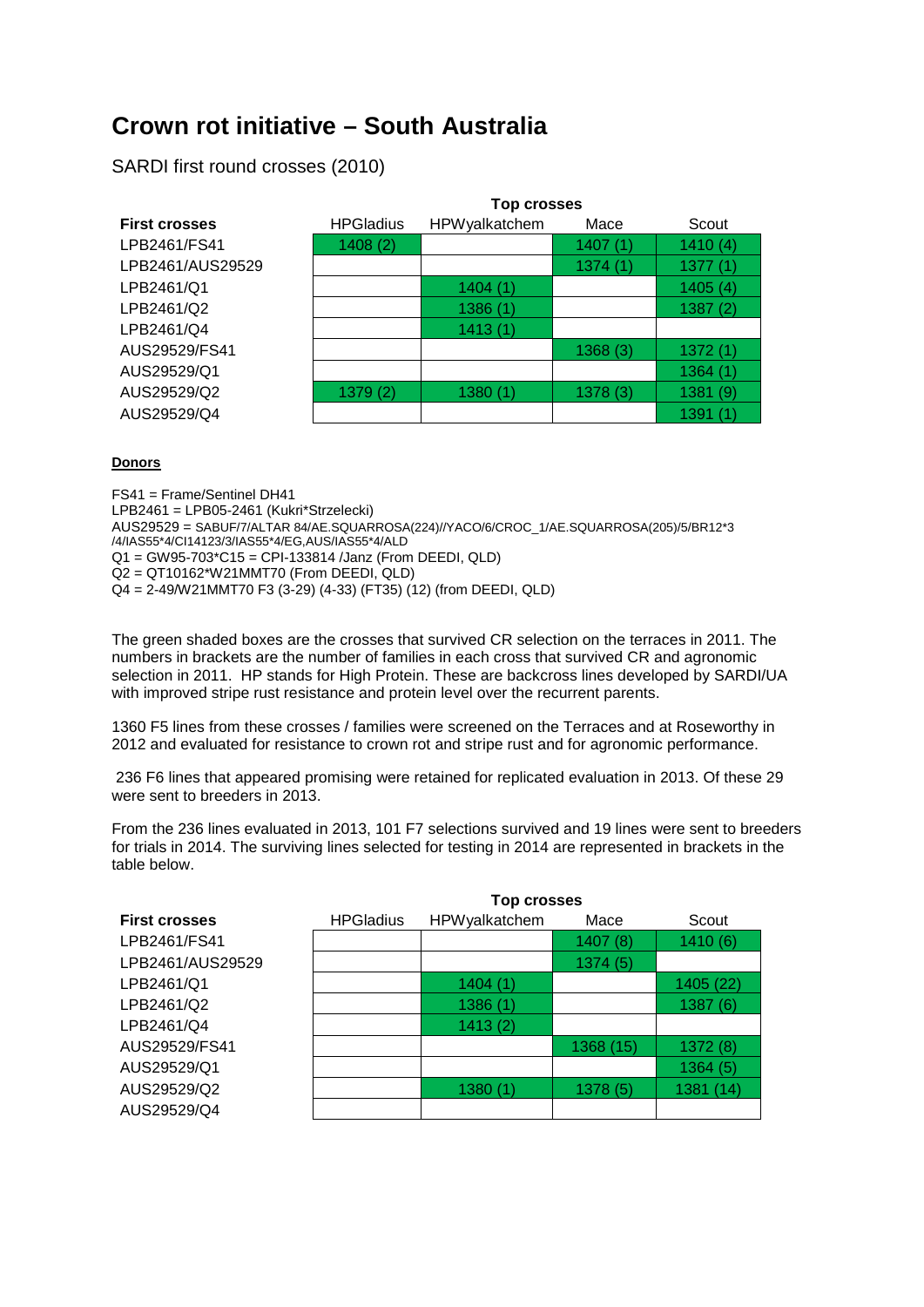# **Crown rot initiative – South Australia**

SARDI first round crosses (2010)

|                      | Top crosses      |               |         |         |  |
|----------------------|------------------|---------------|---------|---------|--|
| <b>First crosses</b> | <b>HPGladius</b> | HPWyalkatchem | Mace    | Scout   |  |
| LPB2461/FS41         | 1408(2)          |               | 1407(1) | 1410(4) |  |
| LPB2461/AUS29529     |                  |               | 1374(1) | 1377(1) |  |
| LPB2461/Q1           |                  | 1404(1)       |         | 1405(4) |  |
| LPB2461/Q2           |                  | 1386(1)       |         | 1387(2) |  |
| LPB2461/Q4           |                  | 1413(1)       |         |         |  |
| AUS29529/FS41        |                  |               | 1368(3) | 1372(1) |  |
| AUS29529/Q1          |                  |               |         | 1364(1) |  |
| AUS29529/Q2          | 1379(2)          | 1380(1)       | 1378(3) | 1381(9) |  |
| AUS29529/Q4          |                  |               |         | 1391(1) |  |

#### **Donors**

FS41 = Frame/Sentinel DH41 LPB2461 = LPB05-2461 (Kukri\*Strzelecki) AUS29529 = SABUF/7/ALTAR 84/AE.SQUARROSA(224)//YACO/6/CROC\_1/AE.SQUARROSA(205)/5/BR12\*3 /4/IAS55\*4/CI14123/3/IAS55\*4/EG,AUS/IAS55\*4/ALD Q1 = GW95-703\*C15 = CPI-133814 /Janz (From DEEDI, QLD) Q2 = QT10162\*W21MMT70 (From DEEDI, QLD) Q4 = 2-49/W21MMT70 F3 (3-29) (4-33) (FT35) (12) (from DEEDI, QLD)

The green shaded boxes are the crosses that survived CR selection on the terraces in 2011. The numbers in brackets are the number of families in each cross that survived CR and agronomic selection in 2011. HP stands for High Protein. These are backcross lines developed by SARDI/UA with improved stripe rust resistance and protein level over the recurrent parents.

1360 F5 lines from these crosses / families were screened on the Terraces and at Roseworthy in 2012 and evaluated for resistance to crown rot and stripe rust and for agronomic performance.

236 F6 lines that appeared promising were retained for replicated evaluation in 2013. Of these 29 were sent to breeders in 2013.

From the 236 lines evaluated in 2013, 101 F7 selections survived and 19 lines were sent to breeders for trials in 2014. The surviving lines selected for testing in 2014 are represented in brackets in the table below.

|                      | <b>Top crosses</b> |               |           |           |  |
|----------------------|--------------------|---------------|-----------|-----------|--|
| <b>First crosses</b> | <b>HPGladius</b>   | HPWyalkatchem | Mace      | Scout     |  |
| LPB2461/FS41         |                    |               | 1407(8)   | 1410(6)   |  |
| LPB2461/AUS29529     |                    |               | 1374(5)   |           |  |
| LPB2461/Q1           |                    | 1404(1)       |           | 1405 (22) |  |
| LPB2461/Q2           |                    | 1386(1)       |           | 1387(6)   |  |
| LPB2461/Q4           |                    | 1413(2)       |           |           |  |
| AUS29529/FS41        |                    |               | 1368 (15) | 1372(8)   |  |
| AUS29529/Q1          |                    |               |           | 1364(5)   |  |
| AUS29529/Q2          |                    | 1380(1)       | 1378(5)   | 1381 (14) |  |
| AUS29529/Q4          |                    |               |           |           |  |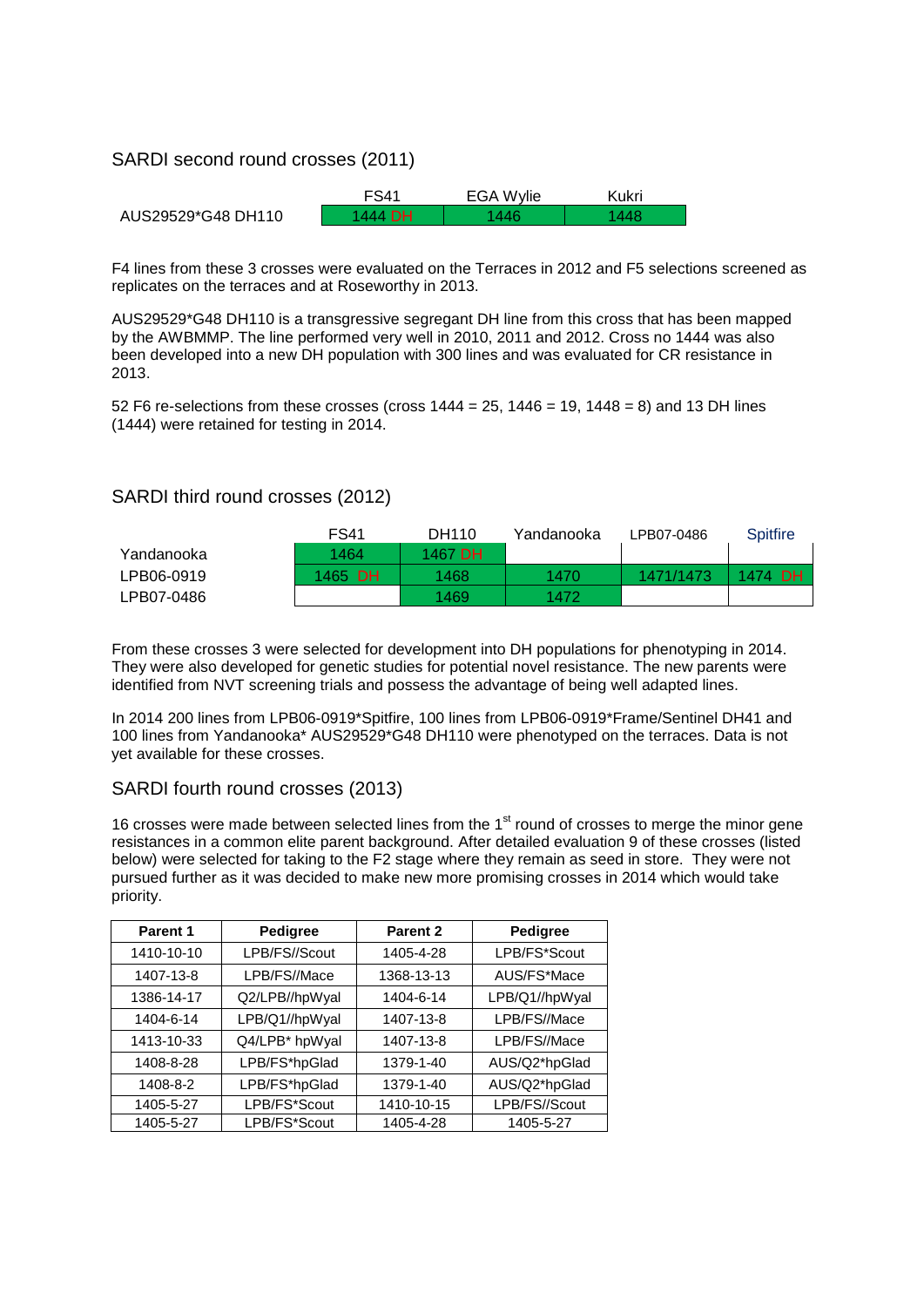### SARDI second round crosses (2011)

|                    | <b>FS41</b> | <b>EGA Wylie</b> | Kukri |
|--------------------|-------------|------------------|-------|
| AUS29529*G48 DH110 | 1444 DH     | 446              |       |

F4 lines from these 3 crosses were evaluated on the Terraces in 2012 and F5 selections screened as replicates on the terraces and at Roseworthy in 2013.

AUS29529\*G48 DH110 is a transgressive segregant DH line from this cross that has been mapped by the AWBMMP. The line performed very well in 2010, 2011 and 2012. Cross no 1444 was also been developed into a new DH population with 300 lines and was evaluated for CR resistance in 2013.

52 F6 re-selections from these crosses (cross  $1444 = 25$ ,  $1446 = 19$ ,  $1448 = 8$ ) and 13 DH lines (1444) were retained for testing in 2014.

### SARDI third round crosses (2012)

|            | <b>FS41</b> | DH110   | Yandanooka | LPB07-0486 | Spitfire |
|------------|-------------|---------|------------|------------|----------|
| Yandanooka | 1464        | 1467 DH |            |            |          |
| LPB06-0919 | 1465 DH     | 1468    | 1470       | 1471/1473  | 1474 DH  |
| LPB07-0486 |             | 1469    | 1472       |            |          |

From these crosses 3 were selected for development into DH populations for phenotyping in 2014. They were also developed for genetic studies for potential novel resistance. The new parents were identified from NVT screening trials and possess the advantage of being well adapted lines.

In 2014 200 lines from LPB06-0919\*Spitfire, 100 lines from LPB06-0919\*Frame/Sentinel DH41 and 100 lines from Yandanooka\* AUS29529\*G48 DH110 were phenotyped on the terraces. Data is not yet available for these crosses.

#### SARDI fourth round crosses (2013)

16 crosses were made between selected lines from the 1<sup>st</sup> round of crosses to merge the minor gene resistances in a common elite parent background. After detailed evaluation 9 of these crosses (listed below) were selected for taking to the F2 stage where they remain as seed in store. They were not pursued further as it was decided to make new more promising crosses in 2014 which would take priority.

| Parent 1   | Pedigree       | Parent <sub>2</sub> | Pedigree       |
|------------|----------------|---------------------|----------------|
| 1410-10-10 | LPB/FS//Scout  | 1405-4-28           | LPB/FS*Scout   |
| 1407-13-8  | LPB/FS//Mace   | 1368-13-13          | AUS/FS*Mace    |
| 1386-14-17 | Q2/LPB//hpWyal | 1404-6-14           | LPB/Q1//hpWyal |
| 1404-6-14  | LPB/Q1//hpWyal | 1407-13-8           | LPB/FS//Mace   |
| 1413-10-33 | Q4/LPB* hpWyal | 1407-13-8           | LPB/FS//Mace   |
| 1408-8-28  | LPB/FS*hpGlad  | 1379-1-40           | AUS/Q2*hpGlad  |
| 1408-8-2   | LPB/FS*hpGlad  | 1379-1-40           | AUS/Q2*hpGlad  |
| 1405-5-27  | LPB/FS*Scout   | 1410-10-15          | LPB/FS//Scout  |
| 1405-5-27  | LPB/FS*Scout   | 1405-4-28           | 1405-5-27      |